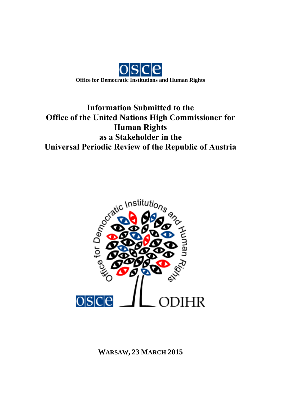

# **Information Submitted to the Office of the United Nations High Commissioner for Human Rights as a Stakeholder in the Universal Periodic Review of the Republic of Austria**



**WARSAW, 23 MARCH 2015**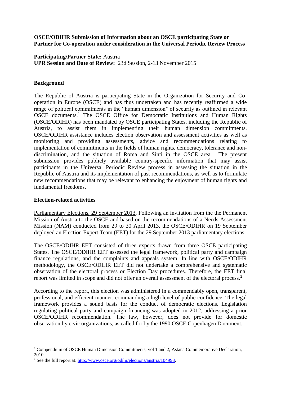## **OSCE/ODIHR Submission of Information about an OSCE participating State or Partner for Co-operation under consideration in the Universal Periodic Review Process**

**Participating/Partner State:** Austria **UPR Session and Date of Review:** 23d Session, 2-13 November 2015

## **Background**

The Republic of Austria is participating State in the Organization for Security and Cooperation in Europe (OSCE) and has thus undertaken and has recently reaffirmed a wide range of political commitments in the "human dimension" of security as outlined in relevant OSCE documents.<sup>1</sup> The OSCE Office for Democratic Institutions and Human Rights (OSCE/ODIHR) has been mandated by OSCE participating States, including the Republic of Austria, to assist them in implementing their human dimension commitments. OSCE/ODIHR assistance includes election observation and assessment activities as well as monitoring and providing assessments, advice and recommendations relating to implementation of commitments in the fields of human rights, democracy, tolerance and nondiscrimination, and the situation of Roma and Sinti in the OSCE area. The present submission provides publicly available country-specific information that may assist participants in the Universal Periodic Review process in assessing the situation in the Republic of Austria and its implementation of past recommendations, as well as to formulate new recommendations that may be relevant to enhancing the enjoyment of human rights and fundamental freedoms.

# **Election-related activities**

<u>.</u>

Parliamentary Elections, 29 September 2013. Following an invitation from the the Permanent Mission of Austria to the OSCE and based on the recommendations of a Needs Assessment Mission (NAM) conducted from 29 to 30 April 2013, the OSCE/ODIHR on 19 September deployed an Election Expert Team (EET) for the 29 September 2013 parliamentary elections.

The OSCE/ODIHR EET consisted of three experts drawn from three OSCE participating States. The OSCE/ODIHR EET assessed the legal framework, political party and campaign finance regulations, and the complaints and appeals system. In line with OSCE/ODIHR methodology, the OSCE/ODIHR EET did not undertake a comprehensive and systematic observation of the electoral process or Election Day procedures. Therefore, the EET final report was limited in scope and did not offer an overall assessment of the electoral process.<sup>2</sup>

According to the report, this election was administered in a commendably open, transparent, professional, and efficient manner, commanding a high level of public confidence. The legal framework provides a sound basis for the conduct of democratic elections. Legislation regulating political party and campaign financing was adopted in 2012, addressing a prior OSCE/ODIHR recommendation. The law, however, does not provide for domestic observation by civic organizations, as called for by the 1990 OSCE Copenhagen Document.

<sup>&</sup>lt;sup>1</sup> Compendium of OSCE Human Dimension Commitments, vol 1 and 2; Astana Commemorative Declaration, 2010.

<sup>2</sup> See the full report at[: http://www.osce.org/odihr/elections/austria/104993.](http://www.osce.org/odihr/elections/austria/104993)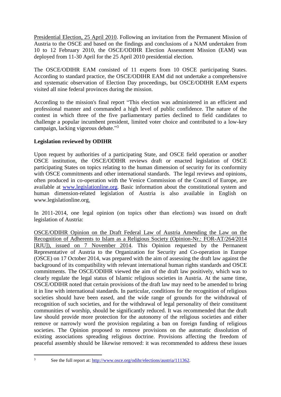Presidential Election, 25 April 2010. Following an invitation from the Permanent Mission of Austria to the OSCE and based on the findings and conclusions of a NAM undertaken from 10 to 12 February 2010, the OSCE/ODIHR Election Assessment Mission (EAM) was deployed from 11-30 April for the 25 April 2010 presidential election.

The OSCE/ODIHR EAM consisted of 11 experts from 10 OSCE participating States. According to standard practice, the OSCE/ODIHR EAM did not undertake a comprehensive and systematic observation of Election Day proceedings, but OSCE/ODIHR EAM experts visited all nine federal provinces during the mission.

According to the mission's final report "This election was administered in an efficient and professional manner and commanded a high level of public confidence. The nature of the contest in which three of the five parliamentary parties declined to field candidates to challenge a popular incumbent president, limited voter choice and contributed to a low-key campaign, lacking vigorous debate."3

# **Legislation reviewed by ODIHR**

Upon request by authorities of a participating State, and OSCE field operation or another OSCE institution, the OSCE/ODIHR reviews draft or enacted legislation of OSCE participating States on topics relating to the human dimension of security for its conformity with OSCE commitments and other international standards. The legal reviews and opinions, often produced in co-operation with the Venice Commission of the Council of Europe, are available at [www.legislationline.org.](http://www.legislationline.org/) Basic information about the constitutional system and human dimension-related legislation of Austria is also available in English on www.legislationline.org.

In 2011-2014, one legal opinion (on topics other than elections) was issued on draft legislation of Austria:

OSCE/ODIHR Opinion on the Draft Federal Law of Austria Amending the Law on the Recognition of Adherents to Islam as a Religious Society (Opinion-Nr.: FOR-AT/264/2014 [RJU]), issued on 7 November 2014. This Opinion requested by the Permanent Representative of Austria to the Organization for Security and Co-operation in Europe (OSCE) on 17 October 2014, was prepared with the aim of assessing the draft law against the background of its compatibility with relevant international human rights standards and OSCE commitments. The OSCE/ODIHR viewed the aim of the draft law positively, which was to clearly regulate the legal status of Islamic religious societies in Austria. At the same time, OSCE/ODIHR noted that certain provisions of the draft law may need to be amended to bring it in line with international standards. In particular, conditions for the recognition of religious societies should have been eased, and the wide range of grounds for the withdrawal of recognition of such societies, and for the withdrawal of legal personality of their constituent communities of worship, should be significantly reduced. It was recommended that the draft law should provide more protection for the autonomy of the religious societies and either remove or narrowly word the provision regulating a ban on foreign funding of religious societies. The Opinion proposed to remove provisions on the automatic dissolution of existing associations spreading religious doctrine. Provisions affecting the freedom of peaceful assembly should be likewise removed: it was recommended to address these issues

 $\overline{3}$ 

<sup>3</sup> See the full report at: [http://www.osce.org/odihr/elections/austria/111362.](http://www.osce.org/odihr/elections/austria/111362)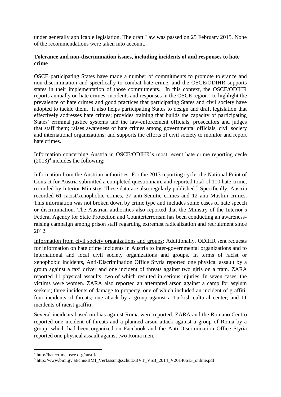under generally applicable legislation. The draft Law was passed on 25 February 2015. None of the recommendations were taken into account.

# **Tolerance and non-discrimination issues, including incidents of and responses to hate crime**

OSCE participating States have made a number of commitments to promote tolerance and non-discrimination and specifically to combat hate crime, and the OSCE/ODIHR supports states in their implementation of those commitments. In this context, the OSCE/ODIHR reports annually on hate crimes, incidents and responses in the OSCE region– to highlight the prevalence of hate crimes and good practices that participating States and civil society have adopted to tackle them. It also helps participating States to design and draft legislation that effectively addresses hate crimes; provides training that builds the capacity of participating States' criminal justice systems and the law-enforcement officials, prosecutors and judges that staff them; raises awareness of hate crimes among governmental officials, civil society and international organizations; and supports the efforts of civil society to monitor and report hate crimes.

Information concerning Austria in OSCE/ODIHR's most recent hate crime reporting cycle  $(2013)^4$  includes the following:

Information from the Austrian authorities: For the 2013 reporting cycle, the National Point of Contact for Austria submitted a completed questionnaire and reported total of 110 hate crime, recorded by Interior Ministry. These data are also regularly published.<sup>5</sup> Specifically, Austria recorded 61 racist/xenophobic crimes, 37 anti-Semitic crimes and 12 anti-Muslim crimes. This information was not broken down by crime type and includes some cases of hate speech or discrimination. The Austrian authorities also reported that the Ministry of the Interior's Federal Agency for State Protection and Counterterrorism has been conducting an awarenessraising campaign among prison staff regarding extremist radicalization and recruitment since 2012.

Information from civil society organizations and groups: Additionally, ODIHR sent requests for information on hate crime incidents in Austria to inter-governmental organizations and to international and local civil society organizations and groups. In terms of racist or xenophobic incidents, Anti-Discrimination Office Styria reported one physical assault by a group against a taxi driver and one incident of threats against two girls on a tram. ZARA reported 11 physical assaults, two of which resulted in serious injuries. In seven cases, the victims were women. ZARA also reported an attempted arson against a camp for asylum seekers; three incidents of damage to property, one of which included an incident of graffiti; four incidents of threats; one attack by a group against a Turkish cultural center; and 11 incidents of racist graffiti.

Several incidents based on bias against Roma were reported. ZARA and the Romano Centro reported one incident of threats and a planned arson attack against a group of Roma by a group, which had been organized on Facebook and the Anti-Discrimination Office Styria reported one physical assault against two Roma men.

1

<sup>4</sup> http://hatecrime.osce.org/austria.

<sup>5</sup> http://www.bmi.gv.at/cms/BMI\_Verfassungsschutz/BVT\_VSB\_2014\_V20140613\_online.pdf.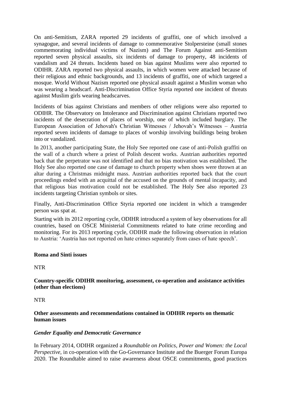On anti-Semitism, ZARA reported 29 incidents of graffiti, one of which involved a synagogue, and several incidents of damage to commemorative Stolpersteine (small stones commemorating individual victims of Nazism) and The Forum Against anti-Semitism reported seven physical assaults, six incidents of damage to property, 48 incidents of vandalism and 24 threats. Incidents based on bias against Muslims were also reported to ODIHR. ZARA reported two physical assaults, in which women were attacked because of their religious and ethnic backgrounds, and 13 incidents of graffiti, one of which targeted a mosque. World Without Nazism reported one physical assault against a Muslim woman who was wearing a headscarf. Anti-Discrimination Office Styria reported one incident of threats against Muslim girls wearing headscarves.

Incidents of bias against Christians and members of other religions were also reported to ODIHR. The Observatory on Intolerance and Discrimination against Christians reported two incidents of the desecration of places of worship, one of which included burglary. The European Association of Jehovah's Christian Witnesses / Jehovah's Witnesses – Austria reported seven incidents of damage to places of worship involving buildings being broken into or vandalized.

In 2013, another participating State, the Holy See reported one case of anti-Polish graffiti on the wall of a church where a priest of Polish descent works. Austrian authorities reported back that the perpetrator was not identified and that no bias motivation was established. The Holy See also reported one case of damage to church property when shoes were thrown at an altar during a Christmas midnight mass. Austrian authorities reported back that the court proceedings ended with an acquittal of the accused on the grounds of mental incapacity, and that religious bias motivation could not be established. The Holy See also reported 23 incidents targeting Christian symbols or sites.

Finally, Anti-Discrimination Office Styria reported one incident in which a transgender person was spat at.

Starting with its 2012 reporting cycle, ODIHR introduced a system of key observations for all countries, based on OSCE Ministerial Commitments related to hate crime recording and monitoring. For its 2013 reporting cycle, ODIHR made the following observation in relation to Austria: 'Austria has not reported on hate crimes separately from cases of hate speech'.

## **Roma and Sinti issues**

NTR

**Country-specific ODIHR monitoring, assessment, co-operation and assistance activities (other than elections)**

NTR

**Other assessments and recommendations contained in ODIHR reports on thematic human issues**

## *Gender Equality and Democratic Governance*

In February 2014, ODIHR organized a *Roundtable on Politics, Power and Women: the Local Perspective*, in co-operation with the Go-Governance Institute and the Buerger Forum Europa 2020. The Roundtable aimed to raise awareness about OSCE commitments, good practices